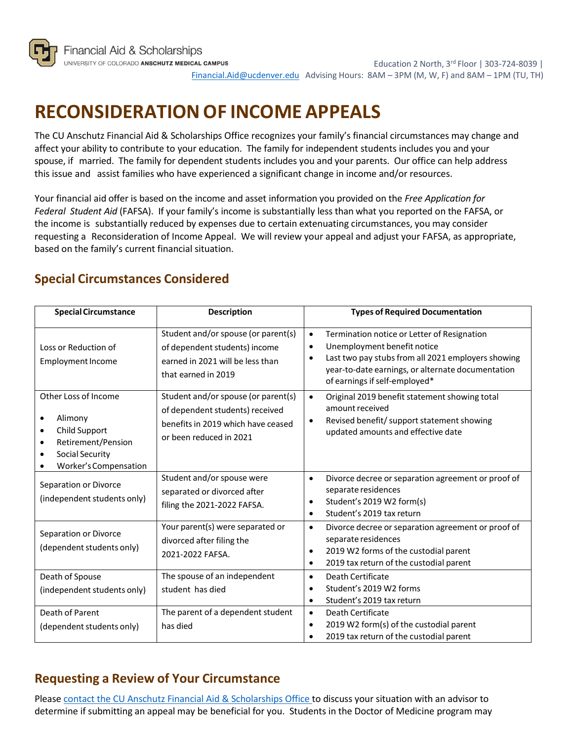

Education 2 North, 3rd Floor | 303-724-8039 | [Financial.Aid@ucdenver.edu](mailto:financial.aid@ucdenver.edu) Advising Hours: 8AM – 3PM (M, W, F) and 8AM – 1PM (TU, TH)

## **RECONSIDERATIONOF INCOME APPEALS**

The CU Anschutz Financial Aid & Scholarships Office recognizes your family's financial circumstances may change and affect your ability to contribute to your education. The family for independent students includes you and your spouse, if married. The family for dependent students includes you and your parents. Our office can help address this issue and assist families who have experienced a significant change in income and/or resources.

Your financial aid offer is based on the income and asset information you provided on the *Free Application for Federal Student Aid* (FAFSA). If your family's income is substantially less than what you reported on the FAFSA, or the income is substantially reduced by expenses due to certain extenuating circumstances, you may consider requesting a Reconsideration of Income Appeal. We will review your appeal and adjust your FAFSA, as appropriate, based on the family's current financial situation.

## **Special Circumstances Considered**

| <b>Special Circumstance</b>                                                                                                                                             | <b>Description</b>                                                                                                                      | <b>Types of Required Documentation</b>                                                                                                                                                                                                                        |
|-------------------------------------------------------------------------------------------------------------------------------------------------------------------------|-----------------------------------------------------------------------------------------------------------------------------------------|---------------------------------------------------------------------------------------------------------------------------------------------------------------------------------------------------------------------------------------------------------------|
| Loss or Reduction of<br><b>Employment Income</b>                                                                                                                        | Student and/or spouse (or parent(s)<br>of dependent students) income<br>earned in 2021 will be less than<br>that earned in 2019         | Termination notice or Letter of Resignation<br>$\bullet$<br>Unemployment benefit notice<br>$\bullet$<br>Last two pay stubs from all 2021 employers showing<br>$\bullet$<br>year-to-date earnings, or alternate documentation<br>of earnings if self-employed* |
| Other Loss of Income<br>Alimony<br>$\bullet$<br><b>Child Support</b><br>$\bullet$<br>Retirement/Pension<br>$\bullet$<br><b>Social Security</b><br>Worker's Compensation | Student and/or spouse (or parent(s)<br>of dependent students) received<br>benefits in 2019 which have ceased<br>or been reduced in 2021 | Original 2019 benefit statement showing total<br>$\bullet$<br>amount received<br>Revised benefit/ support statement showing<br>$\bullet$<br>updated amounts and effective date                                                                                |
| Separation or Divorce<br>(independent students only)                                                                                                                    | Student and/or spouse were<br>separated or divorced after<br>filing the 2021-2022 FAFSA.                                                | Divorce decree or separation agreement or proof of<br>$\bullet$<br>separate residences<br>Student's 2019 W2 form(s)<br>$\bullet$<br>Student's 2019 tax return<br>$\bullet$                                                                                    |
| Separation or Divorce<br>(dependent students only)                                                                                                                      | Your parent(s) were separated or<br>divorced after filing the<br>2021-2022 FAFSA.                                                       | Divorce decree or separation agreement or proof of<br>$\bullet$<br>separate residences<br>2019 W2 forms of the custodial parent<br>$\bullet$<br>2019 tax return of the custodial parent<br>$\bullet$                                                          |
| Death of Spouse<br>(independent students only)                                                                                                                          | The spouse of an independent<br>student has died                                                                                        | Death Certificate<br>$\bullet$<br>Student's 2019 W2 forms<br>$\bullet$<br>Student's 2019 tax return<br>$\bullet$                                                                                                                                              |
| Death of Parent<br>(dependent students only)                                                                                                                            | The parent of a dependent student<br>has died                                                                                           | Death Certificate<br>$\bullet$<br>2019 W2 form(s) of the custodial parent<br>$\bullet$<br>2019 tax return of the custodial parent                                                                                                                             |

## **Requesting a Review of Your Circumstance**

Please contact the CU Anschutz Financial Aid & Scholarships Office to discuss your situation with an advisor to determine if submitting an appeal may be beneficial for you. Students in the Doctor of Medicine program may